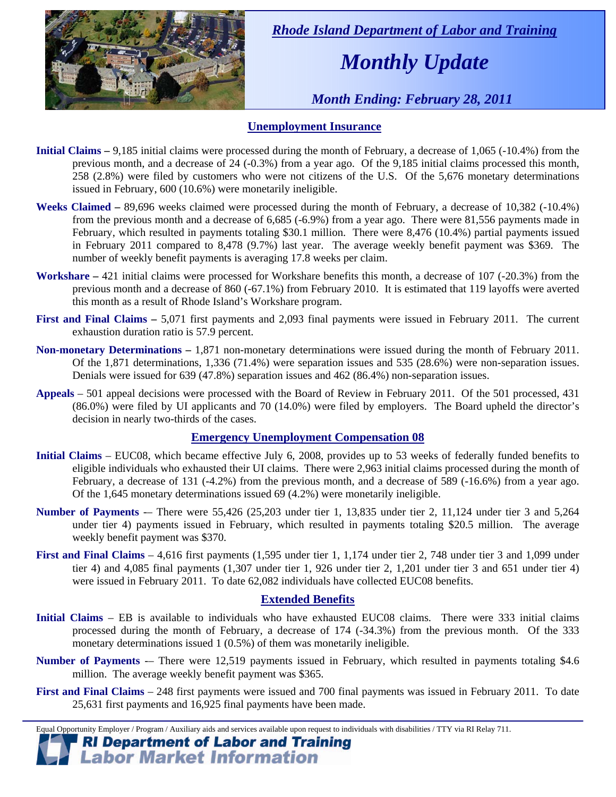

 *Rhode Island Department of Labor and Training* 

# *Monthly Update*

 *Month Ending: February 28, 2011* 

### **Unemployment Insurance**

- **Initial Claims** 9,185 initial claims were processed during the month of February, a decrease of 1,065 (-10.4%) from the previous month, and a decrease of 24 (-0.3%) from a year ago. Of the 9,185 initial claims processed this month, 258 (2.8%) were filed by customers who were not citizens of the U.S. Of the 5,676 monetary determinations issued in February, 600 (10.6%) were monetarily ineligible.
- **Weeks Claimed** 89,696 weeks claimed were processed during the month of February, a decrease of 10,382 (-10.4%) from the previous month and a decrease of 6,685 (-6.9%) from a year ago. There were 81,556 payments made in February, which resulted in payments totaling \$30.1 million. There were 8,476 (10.4%) partial payments issued in February 2011 compared to 8,478 (9.7%) last year. The average weekly benefit payment was \$369. The number of weekly benefit payments is averaging 17.8 weeks per claim.
- **Workshare –** 421 initial claims were processed for Workshare benefits this month, a decrease of 107 (-20.3%) from the previous month and a decrease of 860 (-67.1%) from February 2010. It is estimated that 119 layoffs were averted this month as a result of Rhode Island's Workshare program.
- **First and Final Claims –** 5,071 first payments and 2,093 final payments were issued in February 2011. The current exhaustion duration ratio is 57.9 percent.
- **Non-monetary Determinations –** 1,871 non-monetary determinations were issued during the month of February 2011. Of the 1,871 determinations, 1,336 (71.4%) were separation issues and 535 (28.6%) were non-separation issues. Denials were issued for 639 (47.8%) separation issues and 462 (86.4%) non-separation issues.
- **Appeals** 501 appeal decisions were processed with the Board of Review in February 2011. Of the 501 processed, 431 (86.0%) were filed by UI applicants and 70 (14.0%) were filed by employers. The Board upheld the director's decision in nearly two-thirds of the cases.

#### **Emergency Unemployment Compensation 08**

- **Initial Claims**  EUC08, which became effective July 6, 2008, provides up to 53 weeks of federally funded benefits to eligible individuals who exhausted their UI claims. There were 2,963 initial claims processed during the month of February, a decrease of 131 (-4.2%) from the previous month, and a decrease of 589 (-16.6%) from a year ago. Of the 1,645 monetary determinations issued  $69$  (4.2%) were monetarily ineligible.
- **Number of Payments** -– There were 55,426 (25,203 under tier 1, 13,835 under tier 2, 11,124 under tier 3 and 5,264 under tier 4) payments issued in February, which resulted in payments totaling \$20.5 million. The average weekly benefit payment was \$370.
- **First and Final Claims**  4,616 first payments (1,595 under tier 1, 1,174 under tier 2, 748 under tier 3 and 1,099 under tier 4) and 4,085 final payments (1,307 under tier 1, 926 under tier 2, 1,201 under tier 3 and 651 under tier 4) were issued in February 2011. To date 62,082 individuals have collected EUC08 benefits.

#### **Extended Benefits**

- **Initial Claims**  EB is available to individuals who have exhausted EUC08 claims. There were 333 initial claims processed during the month of February, a decrease of 174 (-34.3%) from the previous month. Of the 333 monetary determinations issued 1 (0.5%) of them was monetarily ineligible.
- **Number of Payments** -– There were 12,519 payments issued in February, which resulted in payments totaling \$4.6 million. The average weekly benefit payment was \$365.
- **First and Final Claims**  248 first payments were issued and 700 final payments was issued in February 2011. To date 25,631 first payments and 16,925 final payments have been made.

Equal Opportunity Employer / Program / Auxiliary aids and services available upon request to individuals with disabilities / TTY via RI Relay 711. **RI Department of Labor and Training** 

# **Labor Market Information**